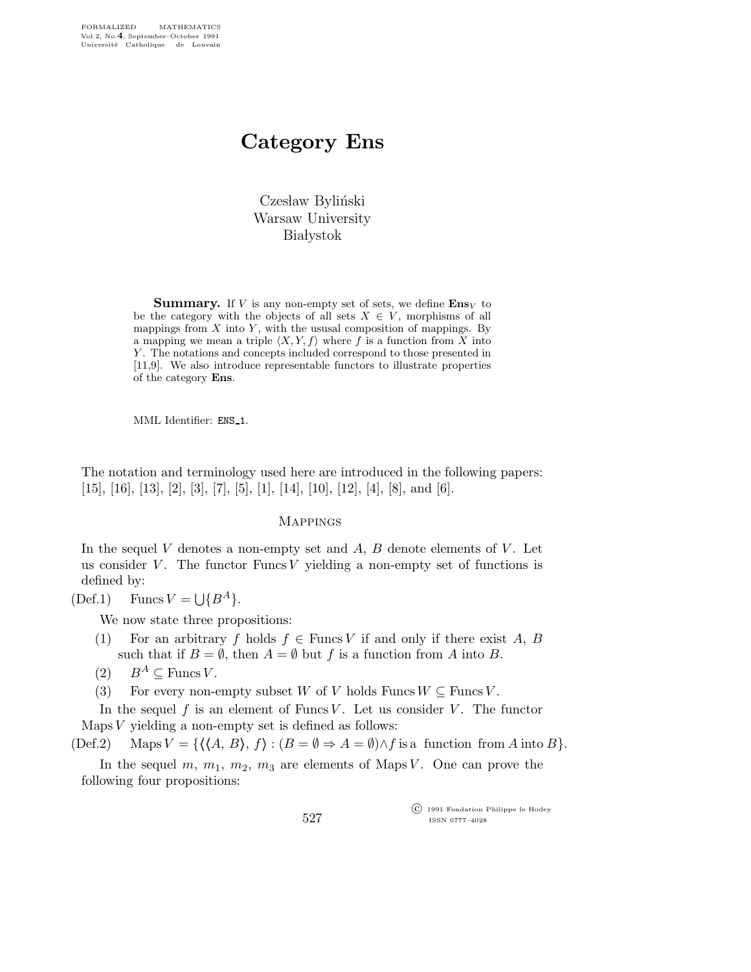# Category Ens

Czesław Byliński Warsaw University **Białystok** 

**Summary.** If V is any non-empty set of sets, we define  $\mathbf{Ens}_V$  to be the category with the objects of all sets  $X \in V$ , morphisms of all mappings from  $X$  into  $Y$ , with the ususal composition of mappings. By a mapping we mean a triple  $\langle X, Y, f \rangle$  where f is a function from X into Y. The notations and concepts included correspond to those presented in [11,9]. We also introduce representable functors to illustrate properties of the category Ens.

MML Identifier: ENS\_1.

The notation and terminology used here are introduced in the following papers:  $[15]$ ,  $[16]$ ,  $[13]$ ,  $[2]$ ,  $[3]$ ,  $[7]$ ,  $[5]$ ,  $[1]$ ,  $[14]$ ,  $[10]$ ,  $[12]$ ,  $[4]$ ,  $[8]$ , and  $[6]$ .

#### Mappings

In the sequel V denotes a non-empty set and  $A, B$  denote elements of V. Let us consider V. The functor Funcs V yielding a non-empty set of functions is defined by:

(Def.1) Funcs  $V = \bigcup \{B^A\}.$ 

We now state three propositions:

- (1) For an arbitrary f holds  $f \in \text{Funcs } V$  if and only if there exist A, B such that if  $B = \emptyset$ , then  $A = \emptyset$  but f is a function from A into B.
- $(2)$   $B^A \subseteq \text{Funcs } V$ .
- (3) For every non-empty subset W of V holds Funcs  $W \subseteq$  Funcs V.

In the sequel f is an element of Funcs V. Let us consider V. The functor Maps  $V$  yielding a non-empty set is defined as follows:

 $(\text{Def.2})$  Maps  $V = \{ \langle \langle A, B \rangle, f \rangle : (B = \emptyset \Rightarrow A = \emptyset) \wedge f \text{ is a function from } A \text{ into } B \}.$ 

In the sequel m,  $m_1$ ,  $m_2$ ,  $m_3$  are elements of Maps V. One can prove the following four propositions:

> c 1991 Fondation Philippe le Hodey ISSN 0777–4028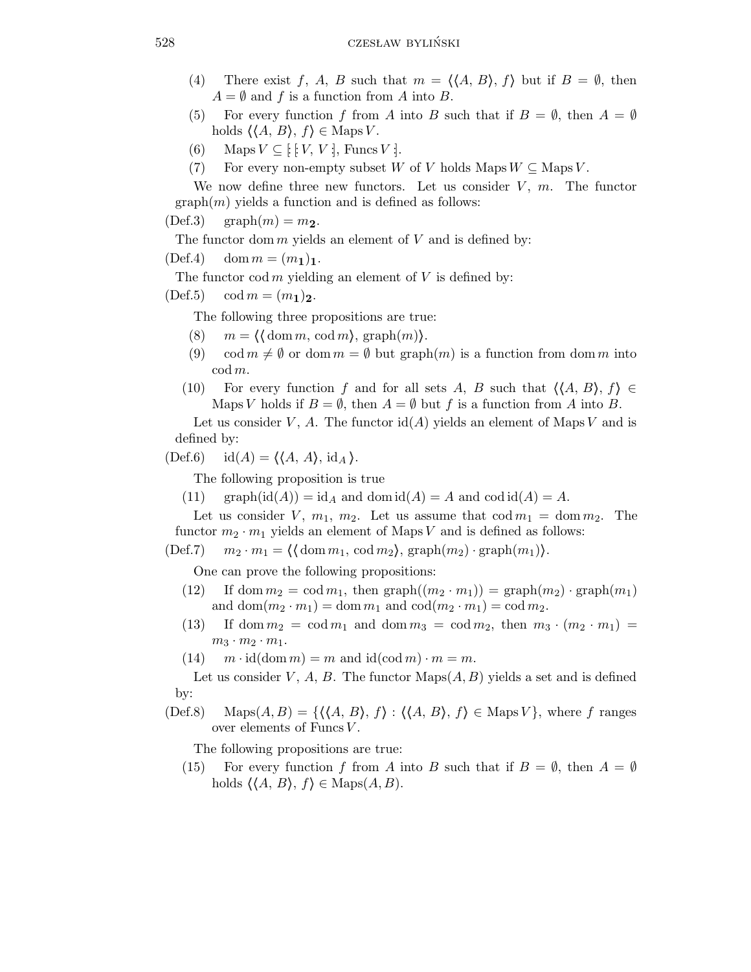- (4) There exist f, A, B such that  $m = \langle \langle A, B \rangle, f \rangle$  but if  $B = \emptyset$ , then  $A = \emptyset$  and f is a function from A into B.
- (5) For every function f from A into B such that if  $B = \emptyset$ , then  $A = \emptyset$ holds  $\langle \langle A, B \rangle, f \rangle \in \text{Maps } V$ .
- (6) Maps  $V \subseteq [V, V]$ , Funcs V :.
- (7) For every non-empty subset W of V holds Maps  $W \subseteq \text{Maps } V$ .

We now define three new functors. Let us consider  $V$ ,  $m$ . The functor  $graph(m)$  yields a function and is defined as follows:

 $(Def.3)$  graph $(m) = m_2$ .

The functor dom  $m$  yields an element of  $V$  and is defined by:

 $(Def.4) \quad \text{dom } m = (m_1)_1.$ 

The functor cod m yielding an element of  $V$  is defined by:

 $(Def.5) \quad \text{cod } m = (m_1)_2.$ 

The following three propositions are true:

- (8)  $m = \langle \text{dom } m, \text{cod } m \rangle, \text{graph}(m) \rangle.$
- (9) cod  $m \neq \emptyset$  or dom  $m = \emptyset$  but graph $(m)$  is a function from dom m into cod m.
- (10) For every function f and for all sets A, B such that  $\langle A, B \rangle, f \rangle \in$ Maps V holds if  $B = \emptyset$ , then  $A = \emptyset$  but f is a function from A into B.

Let us consider V, A. The functor  $\text{id}(A)$  yields an element of Maps V and is defined by:

 $(\text{Def.6}) \quad \text{id}(A) = \langle \langle A, A \rangle, \text{id}_A \rangle.$ 

The following proposition is true

(11) graph(id(A)) = id<sub>A</sub> and dom id(A) = A and cod id(A) = A.

Let us consider V,  $m_1$ ,  $m_2$ . Let us assume that  $\text{cod } m_1 = \text{dom } m_2$ . The functor  $m_2 \cdot m_1$  yields an element of Maps V and is defined as follows:

 $(\text{Def.7})$   $m_2 \cdot m_1 = \langle \text{dom } m_1, \text{ cod } m_2 \rangle, \text{graph}(m_2) \cdot \text{graph}(m_1) \rangle.$ 

One can prove the following propositions:

- (12) If dom  $m_2 = \text{cod } m_1$ , then  $\text{graph}((m_2 \cdot m_1)) = \text{graph}(m_2) \cdot \text{graph}(m_1)$ and dom $(m_2 \cdot m_1) = \text{dom } m_1$  and  $\text{cod}(m_2 \cdot m_1) = \text{cod } m_2$ .
- (13) If dom  $m_2 = \text{cod } m_1$  and dom  $m_3 = \text{cod } m_2$ , then  $m_3 \cdot (m_2 \cdot m_1) =$  $m_3 \cdot m_2 \cdot m_1$ .
- (14)  $m \cdot \text{id}(\text{dom } m) = m$  and  $\text{id}(\text{cod } m) \cdot m = m$ .

Let us consider V, A, B. The functor  $\text{Maps}(A, B)$  yields a set and is defined by:

(Def.8) Maps $(A, B) = \{ \langle A, B \rangle, f \rangle : \langle A, B \rangle, f \in \text{Maps } V \}$ , where f ranges over elements of Funcs  $V$ .

The following propositions are true:

(15) For every function f from A into B such that if  $B = \emptyset$ , then  $A = \emptyset$ holds  $\langle \langle A, B \rangle, f \rangle \in \text{Maps}(A, B).$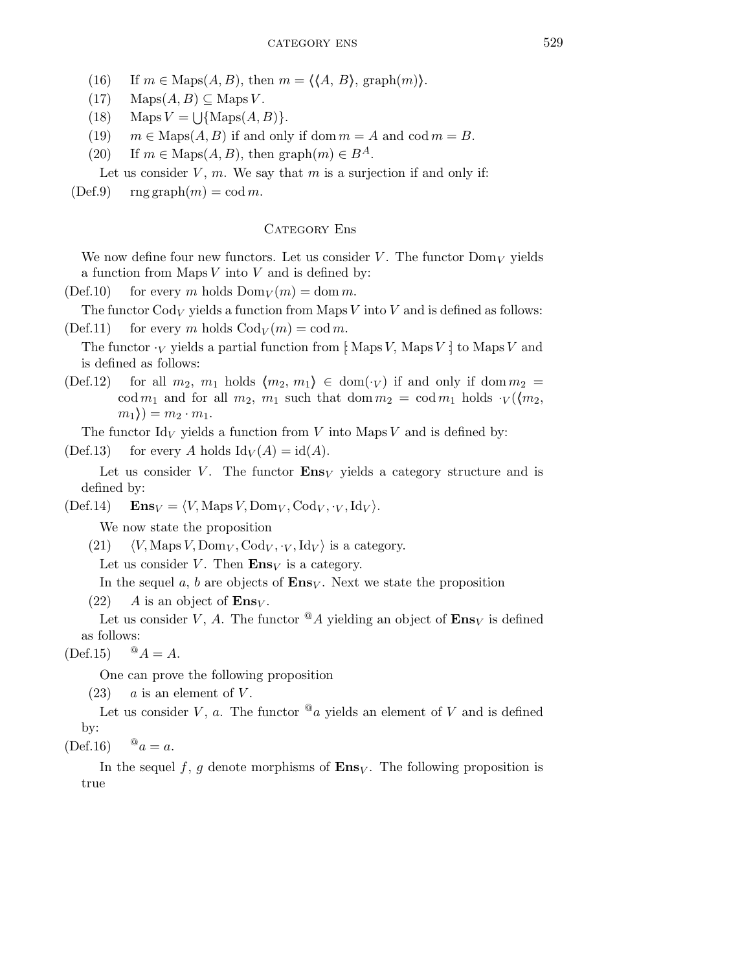- (16) If  $m \in \text{Maps}(A, B)$ , then  $m = \langle \langle A, B \rangle, \text{graph}(m) \rangle$ .
- $(17)$  Maps $(A, B) \subseteq$  Maps V.
- (18) Maps  $V = \bigcup \{\text{Maps}(A, B)\}.$
- (19)  $m \in \text{Maps}(A, B)$  if and only if dom  $m = A$  and cod  $m = B$ .
- (20) If  $m \in \text{Maps}(A, B)$ , then graph $(m) \in B^A$ .

Let us consider  $V$ ,  $m$ . We say that  $m$  is a surjection if and only if:

 $(Def.9)$  rng graph $(m) = \text{cod } m$ .

## CATEGORY Ens

We now define four new functors. Let us consider V. The functor  $\text{Dom}_V$  yields a function from Maps  $V$  into  $V$  and is defined by:

 $(Def.10)$  for every m holds  $Dom_V(m) = dom m$ .

The functor  $Cod_V$  yields a function from Maps V into V and is defined as follows:  $(Def.11)$  for every m holds  $Cod_V(m) = codm$ .

The functor  $\cdot_V$  yields a partial function from [: Maps V, Maps V :] to Maps V and is defined as follows:

(Def.12) for all  $m_2$ ,  $m_1$  holds  $\langle m_2, m_1 \rangle \in \text{dom}(\cdot_V)$  if and only if dom  $m_2 =$ cod  $m_1$  and for all  $m_2$ ,  $m_1$  such that dom  $m_2 = \text{cod } m_1$  holds  $\cdot_V(\langle m_2,$  $m_1$ ) =  $m_2 \cdot m_1$ .

The functor  $\mathrm{Id}_V$  yields a function from V into Maps V and is defined by:

(Def.13) for every A holds  $\mathrm{Id}_V(A) = \mathrm{id}(A)$ .

Let us consider V. The functor  $\mathbf{Ens}_V$  yields a category structure and is defined by:

 $(\text{Def}.14)$   $\text{Ens}_V = \langle V, \text{Maps } V, \text{Dom}_V, \text{Cod}_V, \cdot_V, \text{Id}_V \rangle.$ 

We now state the proposition

(21)  $\langle V, \text{Maps } V, \text{Dom}_V, \text{Cod}_V, \cdot_V, \text{Id}_V \rangle$  is a category. Let us consider V. Then  $\mathbf{Ens}_V$  is a category.

In the sequel a, b are objects of  $\mathbf{Ens}_V$ . Next we state the proposition

```
(22) A is an object of \mathbf{Ens}_V.
```
Let us consider V, A. The functor  $^{\circledR}A$  yielding an object of  $\mathbf{Ens}_V$  is defined as follows:

 $(Def.15)$   ${}^{@}A = A.$ 

One can prove the following proposition

 $(23)$  a is an element of V.

Let us consider V, a. The functor  $^@a$  yields an element of V and is defined by:

 $(Def.16)$   $\mathscr{Q}_a = a$ .

In the sequel f, g denote morphisms of  $\mathbf{Ens}_V$ . The following proposition is true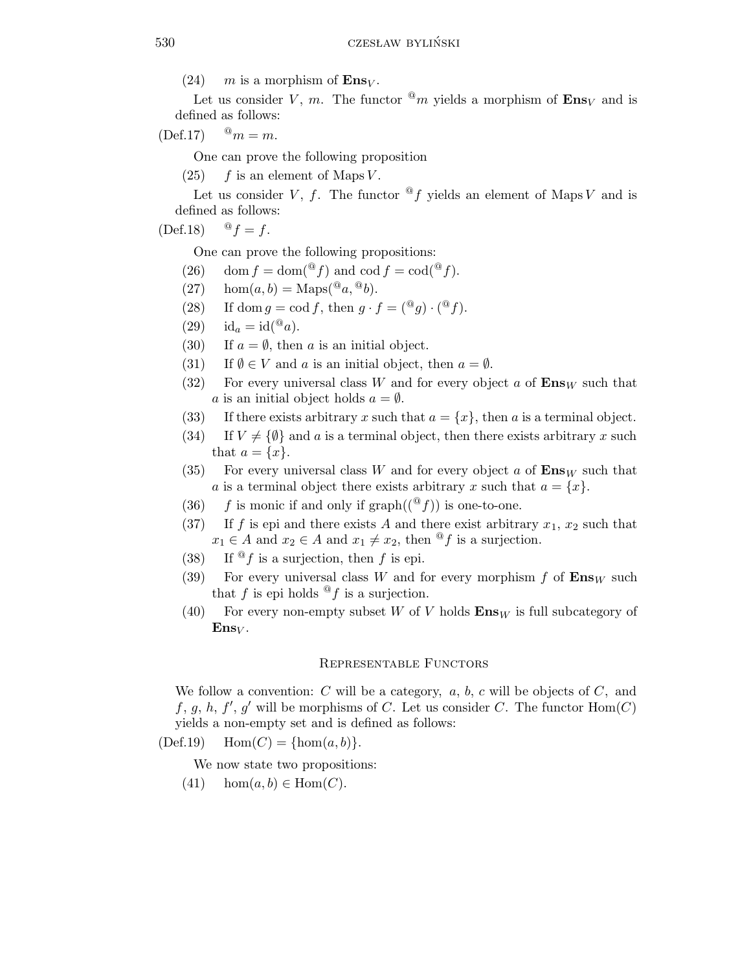(24) m is a morphism of  $\mathbf{Ens}_V$ .

Let us consider V, m. The functor  $^{\circledR}m$  yields a morphism of  $\mathbf{Ens}_V$  and is defined as follows:

 $(\text{Def.17}) \quad {\,^{\circledR}} m = m.$ 

One can prove the following proposition

 $(25)$  f is an element of Maps V.

Let us consider V, f. The functor  $\mathscr{A}_f$  yields an element of Maps V and is defined as follows:

 $(\text{Def.18})$   $\mathscr{Q}_f = f$ .

One can prove the following propositions:

- (26) dom  $f = \text{dom}({}^{\mathcal{Q}}f)$  and cod  $f = \text{cod}({}^{\mathcal{Q}}f)$ .
- (27) hom $(a, b) = \text{Maps}({}^{\textcircled{a}}, {}^{\textcircled{a}}b).$
- (28) If dom  $g = \text{cod } f$ , then  $g \cdot f = \left( \begin{matrix} \circledast g \end{matrix} \right) \cdot \left( \begin{matrix} \circledast f \end{matrix} \right)$ .
- (29)  $id_a = id^{@}a$ .
- (30) If  $a = \emptyset$ , then a is an initial object.
- (31) If  $\emptyset \in V$  and a is an initial object, then  $a = \emptyset$ .
- (32) For every universal class W and for every object a of  $\mathbf{Ens}_W$  such that a is an initial object holds  $a = \emptyset$ .
- (33) If there exists arbitrary x such that  $a = \{x\}$ , then a is a terminal object.
- (34) If  $V \neq {\emptyset}$  and a is a terminal object, then there exists arbitrary x such that  $a = \{x\}.$
- (35) For every universal class W and for every object a of  $\mathbf{Ens}_W$  such that a is a terminal object there exists arbitrary x such that  $a = \{x\}.$
- (36) f is monic if and only if  $graph((^{\circledR}f))$  is one-to-one.
- (37) If f is epi and there exists A and there exist arbitrary  $x_1, x_2$  such that  $x_1 \in A$  and  $x_2 \in A$  and  $x_1 \neq x_2$ , then <sup>@</sup>f is a surjection.
- (38) If  $\mathscr{A}_f$  is a surjection, then f is epi.
- (39) For every universal class W and for every morphism  $f$  of  $\mathbf{Ens}_W$  such that f is epi holds  $\mathscr{A}_f$  is a surjection.
- (40) For every non-empty subset W of V holds  $\mathbf{Ens}_W$  is full subcategory of  $\mathbf{Ens}_V$ .

### Representable Functors

We follow a convention:  $C$  will be a category,  $a, b, c$  will be objects of  $C$ , and f, g, h, f', g' will be morphisms of C. Let us consider C. The functor  $\text{Hom}(C)$ yields a non-empty set and is defined as follows:

(Def.19)  $Hom(C) = {hom(a, b)}.$ 

We now state two propositions:

(41) hom $(a, b) \in \text{Hom}(C)$ .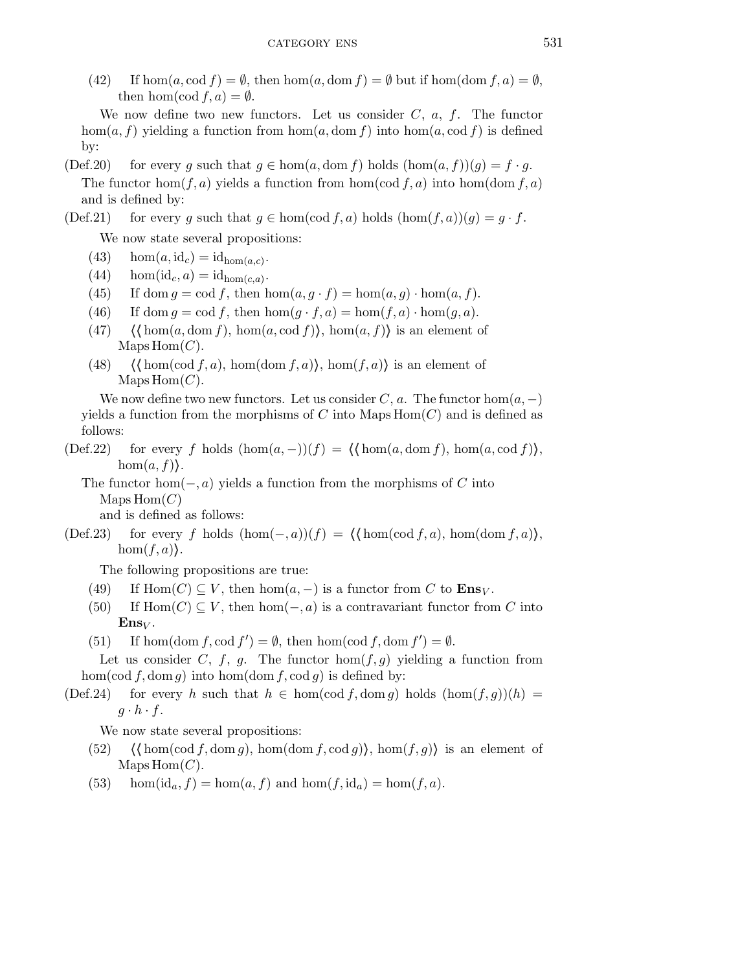(42) If  $\hom(a, \text{cod } f) = \emptyset$ , then  $\hom(a, \text{dom } f) = \emptyset$  but if  $\hom(\text{dom } f, a) = \emptyset$ , then hom(cod  $f, a) = \emptyset$ .

We now define two new functors. Let us consider  $C$ ,  $a$ ,  $f$ . The functor hom $(a, f)$  yielding a function from hom $(a, dom f)$  into hom $(a, cod f)$  is defined by:

(Def.20) for every g such that  $g \in \hom(a, \operatorname{dom} f)$  holds  $(\hom(a, f))(g) = f \cdot g$ . The functor hom $(f, a)$  yields a function from hom $(\text{cod } f, a)$  into hom $(\text{dom } f, a)$ and is defined by:

# (Def.21) for every g such that  $g \in \hom(\text{cod } f, a)$  holds  $(\hom(f, a))(g) = g \cdot f$ .

We now state several propositions:

- (43) hom $(a, id_c) = id_{hom(a, c)}$ .
- (44) hom(id<sub>c</sub>, a) = id<sub>hom(c, a)</sub>.
- (45) If dom  $g = \text{cod } f$ , then  $\text{hom}(a, g \cdot f) = \text{hom}(a, g) \cdot \text{hom}(a, f)$ .
- (46) If dom  $q = \text{cod } f$ , then  $\text{hom}(q \cdot f, a) = \text{hom}(f, a) \cdot \text{hom}(q, a)$ .
- (47)  $\langle \text{hom}(a, \text{dom } f), \text{hom}(a, \text{cod } f) \rangle$ , hom $(a, f)$  is an element of  $MapsHom(C).$
- (48)  $\langle \text{hom}(\text{cod } f, a), \text{hom}(\text{dom } f, a) \rangle$ , hom $(f, a)$  is an element of  $MapsHom(C).$

We now define two new functors. Let us consider C, a. The functor  $hom(a, -)$ yields a function from the morphisms of C into Maps  $Hom(C)$  and is defined as follows:

(Def.22) for every f holds  $(\text{hom}(a, -))(f) = \langle \text{hom}(a, \text{dom } f), \text{hom}(a, \text{cod } f) \rangle$ ,  $hom(a, f)$ .

The functor hom $(-,a)$  yields a function from the morphisms of C into  $MapsHom(C)$ and is defined as follows:

(Def.23) for every f holds  $(\text{hom}(-,a))(f) = \langle \text{hom}(\text{cod } f,a), \text{hom}(\text{dom } f,a) \rangle$ ,  $hom(f,a)$ .

The following propositions are true:

- (49) If  $\text{Hom}(C) \subseteq V$ , then  $\text{hom}(a, -)$  is a functor from C to  $\text{Ens}_V$ .
- (50) If  $\text{Hom}(C) \subseteq V$ , then  $\text{hom}(-,a)$  is a contravariant functor from C into  $\mathbf{Ens}_V$ .
- (51) If hom(dom f, cod  $f'$ ) =  $\emptyset$ , then hom(cod f, dom  $f'$ ) =  $\emptyset$ .

Let us consider C, f, g. The functor  $hom(f,g)$  yielding a function from hom(cod f, dom g) into hom(dom f, cod g) is defined by:

(Def.24) for every h such that  $h \in \text{hom}(\text{cod } f, \text{dom } g)$  holds  $(\text{hom}(f,g))(h) =$  $g \cdot h \cdot f$ .

We now state several propositions:

- (52)  $\langle \text{hom}(\text{cod } f, \text{dom } g), \text{hom}(\text{dom } f, \text{cod } g) \rangle, \text{hom}(f,g) \rangle$  is an element of  $MapsHom(C).$
- (53) hom $(id_a, f) = \text{hom}(a, f)$  and  $\text{hom}(f, id_a) = \text{hom}(f, a)$ .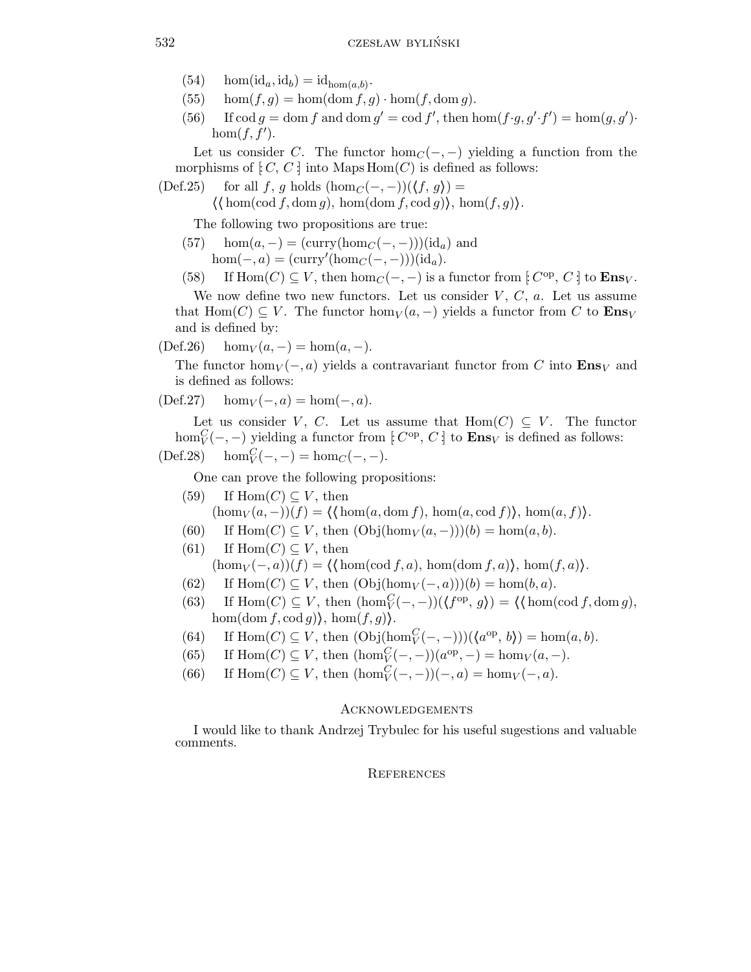- (54) hom(id<sub>a</sub>, id<sub>b</sub>) = id<sub>hom(a,b)</sub>.
- (55) hom $(f,g) = \hom(\text{dom } f,g) \cdot \hom(f, \text{dom } g)$ .
- (56) If  $\operatorname{cod} g = \operatorname{dom} f$  and  $\operatorname{dom} g' = \operatorname{cod} f'$ , then  $\operatorname{hom}(f \cdot g, g' \cdot f') = \operatorname{hom}(g, g')$ . hom $(f, \tilde{f}^{\prime})$ .

Let us consider C. The functor hom<sub> $C$ </sub>(-, -) yielding a function from the morphisms of  $[C, C]$  into Maps  $Hom(C)$  is defined as follows:

(Def.25) for all f, g holds  $(\text{hom}_C(-,-))(\langle f, g \rangle) =$ 

 $\langle \text{hom}(\text{cod } f, \text{dom } g), \text{hom}(\text{dom } f, \text{cod } g) \rangle, \text{hom}(f,g) \rangle.$ 

The following two propositions are true:

 $(57)$  hom $(a, -) = (curry(hom<sub>C</sub>(−, -)))$ (id<sub>a</sub>) and  $hom(-, a) = (curry' (hom<sub>C</sub>(-, -)))(id<sub>a</sub>).$ 

(58) If  $\text{Hom}(C) \subseteq V$ , then  $\text{hom}_C(-,-)$  is a functor from  $[C^{op}, C]$  to  $\mathbf{Ens}_V$ .

We now define two new functors. Let us consider  $V, C, a$ . Let us assume that Hom(C)  $\subseteq V$ . The functor hom<sub>V</sub>( $a$ ,  $-$ ) yields a functor from C to  $\mathbf{Ens}_V$ and is defined by:

 $(Def.26)$  hom $_V(a, -) = \text{hom}(a, -).$ 

The functor hom $V$  (−,a) yields a contravariant functor from C into  $\mathbf{Ens}_V$  and is defined as follows:

 $(\text{Def.27})$  hom $_V(-,a) = \text{hom}(-,a)$ .

Let us consider V, C. Let us assume that  $\text{Hom}(C) \subseteq V$ . The functor hom $_C^C(-,-)$  yielding a functor from  $[ C^{\text{op}}, C ]$  to  $\text{Ens}_V$  is defined as follows:

$$
(\text{Def.28}) \quad \hom_V^C(-,-) = \hom_C(-,-).
$$

One can prove the following propositions:

- (59) If  $\text{Hom}(C) \subseteq V$ , then  $(\hom_V(a, -))(f) = \langle \operatorname{hom}(a, \operatorname{dom} f), \hom(a, \operatorname{cod} f) \rangle, \hom(a, f) \rangle.$
- (60) If  $\text{Hom}(C) \subseteq V$ , then  $(\text{Obj}(\text{hom}_V(a, -)))$ (b) = hom $(a, b)$ .

(61) If  $\text{Hom}(C) \subset V$ , then  $(\hom_V(-,a))(f) = \langle \operatorname{hom}(\operatorname{cod} f,a), \hom(\operatorname{dom} f,a) \rangle, \hom(f,a)\rangle.$ 

- (62) If  $\text{Hom}(C) \subseteq V$ , then  $(\text{Obj}(\text{hom}_V(-,a)))(b) = \text{hom}(b,a)$ .
- (63) If  $\text{Hom}(C) \subseteq V$ , then  $(\text{hom}_V^C(-, -))(\langle f^{\text{op}}, g \rangle) = \langle \langle \text{hom}(\text{cod } f, \text{dom } g), \rangle$ hom(dom f, cod g)), hom $(f,g)$ .
- (64) If  $\text{Hom}(C) \subseteq V$ , then  $(\text{Obj}(\text{hom}_V^C(-,-)))(\langle a^{\text{op}}, b \rangle) = \text{hom}(a, b)$ .
- (65) If  $\text{Hom}(C) \subseteq V$ , then  $(\text{hom}_V^C(-, -))(a^{\text{op}}, -) = \text{hom}_V(a, -)$ .
- (66) If  $\text{Hom}(C) \subseteq V$ , then  $(\text{hom}_V^C(-,-))(-,a) = \text{hom}_V(-,a)$ .

## **ACKNOWLEDGEMENTS**

I would like to thank Andrzej Trybulec for his useful sugestions and valuable comments.

### **REFERENCES**